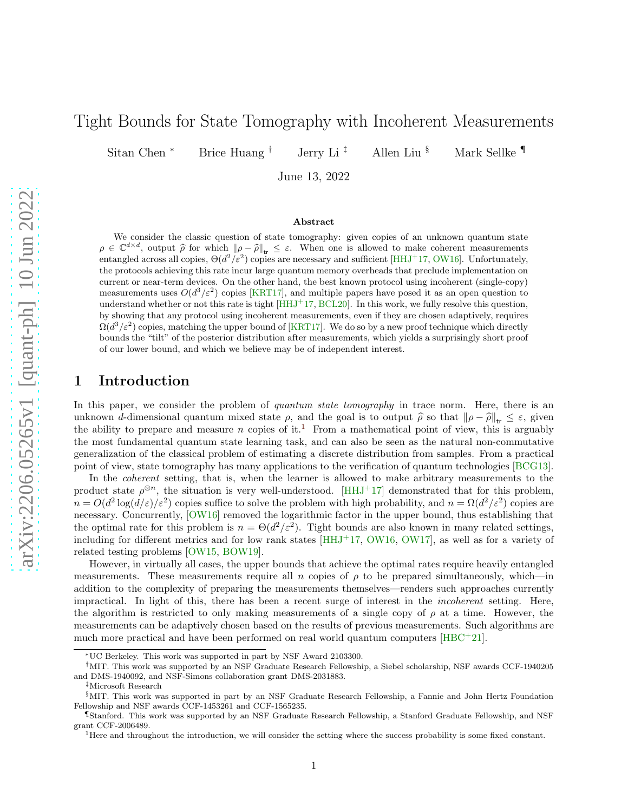# Tight Bounds for State Tomography with Incoherent Measurements

Sitan Chen <sup>∗</sup> Brice Huang † Jerry Li ‡ Allen Liu § Mark Sellke ¶

June 13, 2022

#### Abstract

We consider the classic question of state tomography: given copies of an unknown quantum state  $\rho \in \mathbb{C}^{d \times d}$ , output  $\hat{\rho}$  for which  $\|\rho - \hat{\rho}\|_{tr} \leq \varepsilon$ . When one is allowed to make coherent measurements entangled across all copies,  $\Theta(d^2/\varepsilon^2)$  copies are necessary and sufficient [\[HHJ](#page-7-0)<sup>+</sup>17, [OW16\]](#page-7-1). Unfortunately, the protocols achieving this rate incur large quantum memory overheads that preclude implementation on current or near-term devices. On the other hand, the best known protocol using incoherent (single-copy) measurements uses  $O(d^3/\varepsilon^2)$  copies [\[KRT17\]](#page-7-2), and multiple papers have posed it as an open question to understand whether or not this rate is tight [\[HHJ](#page-7-0)<sup>+</sup>17, [BCL20\]](#page-7-3). In this work, we fully resolve this question, by showing that any protocol using incoherent measurements, even if they are chosen adaptively, requires  $\Omega(d^3/\varepsilon^2)$  copies, matching the upper bound of [\[KRT17\]](#page-7-2). We do so by a new proof technique which directly bounds the "tilt" of the posterior distribution after measurements, which yields a surprisingly short proof of our lower bound, and which we believe may be of independent interest.

#### 1 Introduction

In this paper, we consider the problem of quantum state tomography in trace norm. Here, there is an unknown d-dimensional quantum mixed state  $\rho$ , and the goal is to output  $\hat{\rho}$  so that  $\|\rho - \hat{\rho}\|_{tr} \leq \varepsilon$ , given the ability to prepare and measure n copies of it.<sup>[1](#page-0-0)</sup> From a mathematical point of view, this is arguably the most fundamental quantum state learning task, and can also be seen as the natural non-commutative generalization of the classical problem of estimating a discrete distribution from samples. From a practical point of view, state tomography has many applications to the verification of quantum technologies [\[BCG13\]](#page-6-0).

In the *coherent* setting, that is, when the learner is allowed to make arbitrary measurements to the product state  $\rho^{\otimes n}$ , the situation is very well-understood. [\[HHJ](#page-7-0)<sup>+</sup>17] demonstrated that for this problem,  $n = O(d^2 \log(d/\varepsilon)/\varepsilon^2)$  copies suffice to solve the problem with high probability, and  $n = \Omega(d^2/\varepsilon^2)$  copies are necessary. Concurrently,  $\overline{[OW16]}$  removed the logarithmic factor in the upper bound, thus establishing that the optimal rate for this problem is  $n = \Theta(d^2/\varepsilon^2)$ . Tight bounds are also known in many related settings, including for different metrics and for low rank states  $[HHJ<sup>+</sup>17, 0W16, 0W17]$ , as well as for a variety of related testing problems [\[OW15,](#page-7-5) [BOW19\]](#page-7-6).

However, in virtually all cases, the upper bounds that achieve the optimal rates require heavily entangled measurements. These measurements require all n copies of  $\rho$  to be prepared simultaneously, which—in addition to the complexity of preparing the measurements themselves—renders such approaches currently impractical. In light of this, there has been a recent surge of interest in the incoherent setting. Here, the algorithm is restricted to only making measurements of a single copy of  $\rho$  at a time. However, the measurements can be adaptively chosen based on the results of previous measurements. Such algorithms are much more practical and have been performed on real world quantum computers  $[\text{HBC}^+21]$ .

‡Microsoft Research

<sup>∗</sup>UC Berkeley. This work was supported in part by NSF Award 2103300.

<sup>†</sup>MIT. This work was supported by an NSF Graduate Research Fellowship, a Siebel scholarship, NSF awards CCF-1940205 and DMS-1940092, and NSF-Simons collaboration grant DMS-2031883.

<sup>§</sup>MIT. This work was supported in part by an NSF Graduate Research Fellowship, a Fannie and John Hertz Foundation Fellowship and NSF awards CCF-1453261 and CCF-1565235.

<sup>¶</sup>Stanford. This work was supported by an NSF Graduate Research Fellowship, a Stanford Graduate Fellowship, and NSF grant CCF-2006489.

<span id="page-0-0"></span><sup>1</sup>Here and throughout the introduction, we will consider the setting where the success probability is some fixed constant.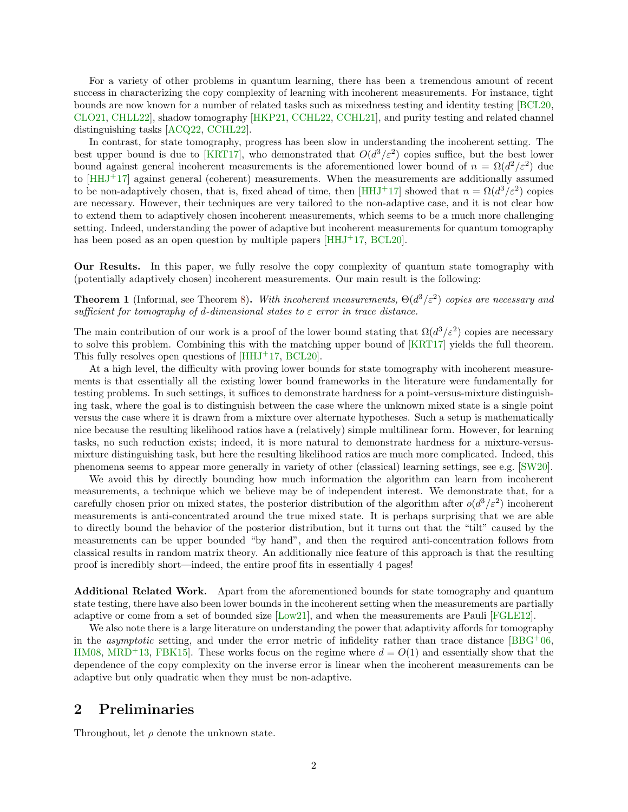For a variety of other problems in quantum learning, there has been a tremendous amount of recent success in characterizing the copy complexity of learning with incoherent measurements. For instance, tight bounds are now known for a number of related tasks such as mixedness testing and identity testing [\[BCL20,](#page-7-3) [CLO21,](#page-7-8) [CHLL22\]](#page-7-9), shadow tomography [\[HKP21,](#page-7-10) [CCHL22,](#page-7-11) [CCHL21\]](#page-7-12), and purity testing and related channel distinguishing tasks [\[ACQ22,](#page-6-1) [CCHL22\]](#page-7-11).

In contrast, for state tomography, progress has been slow in understanding the incoherent setting. The best upper bound is due to [\[KRT17\]](#page-7-2), who demonstrated that  $O(d^3/\varepsilon^2)$  copies suffice, but the best lower bound against general incoherent measurements is the aforementioned lower bound of  $n = \Omega(d^2/\varepsilon^2)$  due to [\[HHJ](#page-7-0)<sup>+</sup>17] against general (coherent) measurements. When the measurements are additionally assumed to be non-adaptively chosen, that is, fixed ahead of time, then  $[HHJ^+17]$  showed that  $n = \Omega(d^3/\varepsilon^2)$  copies are necessary. However, their techniques are very tailored to the non-adaptive case, and it is not clear how to extend them to adaptively chosen incoherent measurements, which seems to be a much more challenging setting. Indeed, understanding the power of adaptive but incoherent measurements for quantum tomography has been posed as an open question by multiple papers  $[HHJ^+17, BCL20]$  $[HHJ^+17, BCL20]$ .

Our Results. In this paper, we fully resolve the copy complexity of quantum state tomography with (potentially adaptively chosen) incoherent measurements. Our main result is the following:

**Theorem 1** (Informal, see Theorem [8\)](#page-5-0). With incoherent measurements,  $\Theta(d^3/\varepsilon^2)$  copies are necessary and sufficient for tomography of d-dimensional states to  $\varepsilon$  error in trace distance.

The main contribution of our work is a proof of the lower bound stating that  $\Omega(d^3/\varepsilon^2)$  copies are necessary to solve this problem. Combining this with the matching upper bound of [\[KRT17\]](#page-7-2) yields the full theorem. This fully resolves open questions of [\[HHJ](#page-7-0)<sup>+</sup>17, [BCL20\]](#page-7-3).

At a high level, the difficulty with proving lower bounds for state tomography with incoherent measurements is that essentially all the existing lower bound frameworks in the literature were fundamentally for testing problems. In such settings, it suffices to demonstrate hardness for a point-versus-mixture distinguishing task, where the goal is to distinguish between the case where the unknown mixed state is a single point versus the case where it is drawn from a mixture over alternate hypotheses. Such a setup is mathematically nice because the resulting likelihood ratios have a (relatively) simple multilinear form. However, for learning tasks, no such reduction exists; indeed, it is more natural to demonstrate hardness for a mixture-versusmixture distinguishing task, but here the resulting likelihood ratios are much more complicated. Indeed, this phenomena seems to appear more generally in variety of other (classical) learning settings, see e.g. [\[SW20\]](#page-7-13).

We avoid this by directly bounding how much information the algorithm can learn from incoherent measurements, a technique which we believe may be of independent interest. We demonstrate that, for a carefully chosen prior on mixed states, the posterior distribution of the algorithm after  $o(d^3/\varepsilon^2)$  incoherent measurements is anti-concentrated around the true mixed state. It is perhaps surprising that we are able to directly bound the behavior of the posterior distribution, but it turns out that the "tilt" caused by the measurements can be upper bounded "by hand", and then the required anti-concentration follows from classical results in random matrix theory. An additionally nice feature of this approach is that the resulting proof is incredibly short—indeed, the entire proof fits in essentially 4 pages!

Additional Related Work. Apart from the aforementioned bounds for state tomography and quantum state testing, there have also been lower bounds in the incoherent setting when the measurements are partially adaptive or come from a set of bounded size [\[Low21\]](#page-7-14), and when the measurements are Pauli [\[FGLE12\]](#page-7-15).

We also note there is a large literature on understanding the power that adaptivity affords for tomography in the *asymptotic* setting, and under the error metric of infidelity rather than trace distance [\[BBG](#page-6-2)+06, [HM08,](#page-7-16) [MRD](#page-7-17)<sup>+</sup>13, FBK15. These works focus on the regime where  $d = O(1)$  and essentially show that the dependence of the copy complexity on the inverse error is linear when the incoherent measurements can be adaptive but only quadratic when they must be non-adaptive.

### 2 Preliminaries

Throughout, let  $\rho$  denote the unknown state.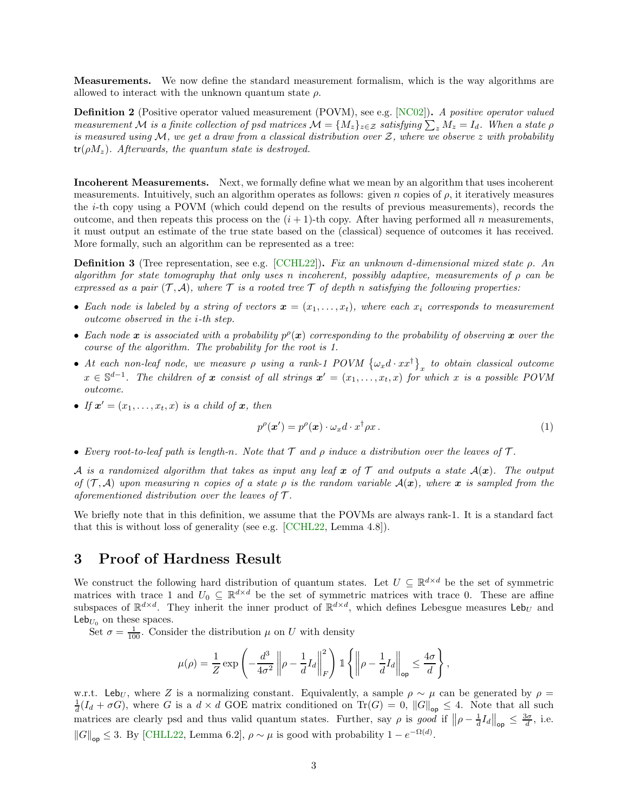Measurements. We now define the standard measurement formalism, which is the way algorithms are allowed to interact with the unknown quantum state  $\rho$ .

**Definition 2** (Positive operator valued measurement (POVM), see e.g. [\[NC02\]](#page-7-19)). A positive operator valued measurement M is a finite collection of psd matrices  $\mathcal{M} = \{M_z\}_{z \in \mathcal{Z}}$  satisfying  $\sum_z M_z = I_d$ . When a state  $\rho$ is measured using  $\mathcal{M}$ , we get a draw from a classical distribution over Z, where we observe z with probability  $tr(\rho M_z)$ . Afterwards, the quantum state is destroyed.

Incoherent Measurements. Next, we formally define what we mean by an algorithm that uses incoherent measurements. Intuitively, such an algorithm operates as follows: given n copies of  $\rho$ , it iteratively measures the i-th copy using a POVM (which could depend on the results of previous measurements), records the outcome, and then repeats this process on the  $(i + 1)$ -th copy. After having performed all n measurements, it must output an estimate of the true state based on the (classical) sequence of outcomes it has received. More formally, such an algorithm can be represented as a tree:

<span id="page-2-0"></span>**Definition 3** (Tree representation, see e.g. [\[CCHL22\]](#page-7-11)). Fix an unknown d-dimensional mixed state  $\rho$ . An algorithm for state tomography that only uses n incoherent, possibly adaptive, measurements of  $\rho$  can be expressed as a pair  $(\mathcal{T}, \mathcal{A})$ , where  $\mathcal T$  is a rooted tree  $\mathcal T$  of depth n satisfying the following properties:

- Each node is labeled by a string of vectors  $\mathbf{x} = (x_1, \ldots, x_t)$ , where each  $x_i$  corresponds to measurement outcome observed in the i-th step.
- Each node x is associated with a probability  $p^{\rho}(x)$  corresponding to the probability of observing x over the course of the algorithm. The probability for the root is 1.
- At each non-leaf node, we measure  $\rho$  using a rank-1 POVM  $\{\omega_x d \cdot xx^{\dagger}\}_x$  to obtain classical outcome  $x \in \mathbb{S}^{d-1}$ . The children of x consist of all strings  $x' = (x_1, \ldots, x_t, x)$  for which x is a possible POVM outcome.
- If  $x' = (x_1, \ldots, x_t, x)$  is a child of  $x$ , then

$$
p^{\rho}(\boldsymbol{x}') = p^{\rho}(\boldsymbol{x}) \cdot \omega_x d \cdot x^{\dagger} \rho x \,. \tag{1}
$$

• Every root-to-leaf path is length-n. Note that  $\mathcal T$  and  $\rho$  induce a distribution over the leaves of  $\mathcal T$ .

A is a randomized algorithm that takes as input any leaf x of T and outputs a state  $A(x)$ . The output of  $(\mathcal{T}, \mathcal{A})$  upon measuring n copies of a state  $\rho$  is the random variable  $\mathcal{A}(\bm{x})$ , where  $\bm{x}$  is sampled from the aforementioned distribution over the leaves of  $\mathcal T$ .

We briefly note that in this definition, we assume that the POVMs are always rank-1. It is a standard fact that this is without loss of generality (see e.g. [\[CCHL22,](#page-7-11) Lemma 4.8]).

# 3 Proof of Hardness Result

We construct the following hard distribution of quantum states. Let  $U \subseteq \mathbb{R}^{d \times d}$  be the set of symmetric matrices with trace 1 and  $U_0 \subseteq \mathbb{R}^{d \times d}$  be the set of symmetric matrices with trace 0. These are affine subspaces of  $\mathbb{R}^{d \times d}$ . They inherit the inner product of  $\mathbb{R}^{d \times d}$ , which defines Lebesgue measures Leb<sub>U</sub> and  $\mathsf{Leb}_{U_0}$  on these spaces.

Set  $\sigma = \frac{1}{100}$ . Consider the distribution  $\mu$  on U with density

$$
\mu(\rho)=\frac{1}{Z}\exp\left(-\frac{d^3}{4\sigma^2}\left\|\rho-\frac{1}{d}I_d\right\|_F^2\right)\mathbbm{1}\left\{\left\|\rho-\frac{1}{d}I_d\right\|_{\text{op}}\leq\frac{4\sigma}{d}\right\},
$$

w.r.t. Leb<sub>U</sub>, where Z is a normalizing constant. Equivalently, a sample  $\rho \sim \mu$  can be generated by  $\rho =$  $\frac{1}{d}(I_d + \sigma G)$ , where G is a  $d \times d$  GOE matrix conditioned on Tr(G) = 0,  $||G||_{op} \leq 4$ . Note that all such matrices are clearly psd and thus valid quantum states. Further, say  $\rho$  is good if  $\|\rho - \frac{1}{d}I_d\|_{op} \leq \frac{3\sigma}{d}$ , i.e.  $||G||_{op} \leq 3$ . By [\[CHLL22,](#page-7-9) Lemma 6.2],  $\rho \sim \mu$  is good with probability  $1 - e^{-\Omega(d)}$ .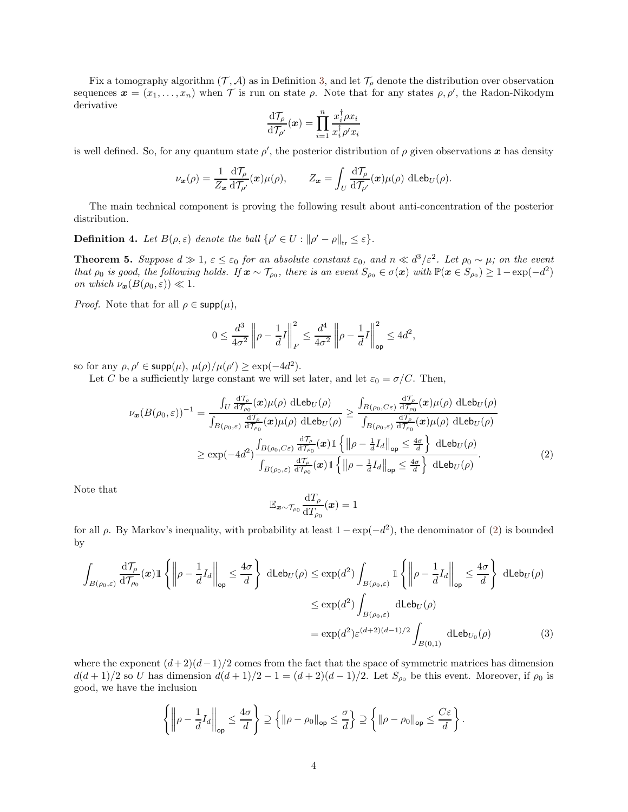Fix a tomography algorithm  $(\mathcal{T}, \mathcal{A})$  as in Definition [3,](#page-2-0) and let  $\mathcal{T}_{\rho}$  denote the distribution over observation sequences  $\boldsymbol{x} = (x_1, \ldots, x_n)$  when  $\mathcal T$  is run on state  $\rho$ . Note that for any states  $\rho, \rho'$ , the Radon-Nikodym derivative

$$
\frac{\mathrm{d}\mathcal{T}_\rho}{\mathrm{d}\mathcal{T}_{\rho'}}(\boldsymbol{x}) = \prod_{i=1}^n \frac{x_i^\dagger \rho x_i}{x_i^\dagger \rho' x_i}
$$

is well defined. So, for any quantum state  $\rho'$ , the posterior distribution of  $\rho$  given observations x has density

$$
\nu_{\boldsymbol{x}}(\rho) = \frac{1}{Z_{\boldsymbol{x}}} \frac{\mathrm{d} \mathcal{T}_{\rho}}{\mathrm{d} \mathcal{T}_{\rho'}}(\boldsymbol{x}) \mu(\rho), \qquad Z_{\boldsymbol{x}} = \int_U \frac{\mathrm{d} \mathcal{T}_{\rho}}{\mathrm{d} \mathcal{T}_{\rho'}}(\boldsymbol{x}) \mu(\rho) \, \mathrm{d} \mathsf{Leb}_U(\rho).
$$

The main technical component is proving the following result about anti-concentration of the posterior distribution.

**Definition 4.** Let  $B(\rho, \varepsilon)$  denote the ball  $\{\rho' \in U : ||\rho' - \rho||_{\text{tr}} \leq \varepsilon\}.$ 

<span id="page-3-2"></span>**Theorem 5.** Suppose  $d \gg 1$ ,  $\varepsilon \leq \varepsilon_0$  for an absolute constant  $\varepsilon_0$ , and  $n \ll d^3/\varepsilon^2$ . Let  $\rho_0 \sim \mu$ ; on the event that  $\rho_0$  is good, the following holds. If  $\mathbf{x} \sim \mathcal{T}_{\rho_0}$ , there is an event  $S_{\rho_0} \in \sigma(\mathbf{x})$  with  $\mathbb{P}(\mathbf{x} \in S_{\rho_0}) \geq 1 - \exp(-d^2)$ on which  $\nu_{\mathbf{x}}(B(\rho_0, \varepsilon)) \ll 1$ .

*Proof.* Note that for all  $\rho \in \text{supp}(\mu)$ ,

$$
0 \le \frac{d^3}{4\sigma^2} \left\| \rho - \frac{1}{d}I \right\|_F^2 \le \frac{d^4}{4\sigma^2} \left\| \rho - \frac{1}{d}I \right\|_{\mathsf{op}}^2 \le 4d^2,
$$

so for any  $\rho, \rho' \in \mathsf{supp}(\mu), \mu(\rho)/\mu(\rho') \geq \exp(-4d^2)$ .

Let C be a sufficiently large constant we will set later, and let  $\varepsilon_0 = \sigma/C$ . Then,

$$
\nu_{\mathbf{x}}(B(\rho_{0},\varepsilon))^{-1} = \frac{\int_{U} \frac{\mathrm{d}\mathcal{T}_{\rho}}{\mathrm{d}\mathcal{T}_{\rho_{0}}}(\mathbf{x})\mu(\rho) \,\mathrm{d}\mathbf{L}\mathbf{e}b_{U}(\rho)}{\int_{B(\rho_{0},\varepsilon)} \frac{\mathrm{d}\mathcal{T}_{\rho}}{\mathrm{d}\mathcal{T}_{\rho_{0}}}(\mathbf{x})\mu(\rho) \,\mathrm{d}\mathbf{L}\mathbf{e}b_{U}(\rho)} \ge \frac{\int_{B(\rho_{0},C\varepsilon)} \frac{\mathrm{d}\mathcal{T}_{\rho}}{\mathrm{d}\mathcal{T}_{\rho_{0}}}(\mathbf{x})\mu(\rho) \,\mathrm{d}\mathbf{L}\mathbf{e}b_{U}(\rho)}{\int_{B(\rho_{0},\varepsilon)} \frac{\mathrm{d}\mathcal{T}_{\rho}}{\mathrm{d}\mathcal{T}_{\rho_{0}}}(\mathbf{x})\mu(\rho) \,\mathrm{d}\mathbf{L}\mathbf{e}b_{U}(\rho)}
$$
\n
$$
\ge \exp(-4d^{2})\frac{\int_{B(\rho_{0},C\varepsilon)} \frac{\mathrm{d}\mathcal{T}_{\rho}}{\mathrm{d}\mathcal{T}_{\rho_{0}}}(\mathbf{x})\mathbbm{1}\left\{\left\|\rho-\frac{1}{d}I_{d}\right\|_{\text{op}}\le\frac{4\sigma}{d}\right\} \,\mathrm{d}\mathbf{L}\mathbf{e}b_{U}(\rho)}{\int_{B(\rho_{0},\varepsilon)} \frac{\mathrm{d}\mathcal{T}_{\rho}}{\mathrm{d}\mathcal{T}_{\rho_{0}}}(\mathbf{x})\mathbbm{1}\left\{\left\|\rho-\frac{1}{d}I_{d}\right\|_{\text{op}}\le\frac{4\sigma}{d}\right\} \,\mathrm{d}\mathbf{L}\mathbf{e}b_{U}(\rho)}.
$$
\n(2)

Note that

<span id="page-3-1"></span><span id="page-3-0"></span>
$$
\mathbb{E}_{{\bm x}\sim\mathcal{T}_{\rho_0}}\frac{\mathrm{d} T_{\rho}}{\mathrm{d} T_{\rho_0}}({\bm x})=1
$$

for all  $\rho$ . By Markov's inequality, with probability at least  $1 - \exp(-d^2)$ , the denominator of [\(2\)](#page-3-0) is bounded by

$$
\int_{B(\rho_0,\varepsilon)} \frac{d\mathcal{T}_{\rho}}{d\mathcal{T}_{\rho_0}}(\boldsymbol{x}) \mathbbm{1} \left\{ \left\| \rho - \frac{1}{d} I_d \right\|_{op} \leq \frac{4\sigma}{d} \right\} \text{ dLeb}_U(\rho) \leq \exp(d^2) \int_{B(\rho_0,\varepsilon)} \mathbbm{1} \left\{ \left\| \rho - \frac{1}{d} I_d \right\|_{op} \leq \frac{4\sigma}{d} \right\} \text{ dLeb}_U(\rho)
$$
\n
$$
\leq \exp(d^2) \int_{B(\rho_0,\varepsilon)} \text{ dLeb}_U(\rho)
$$
\n
$$
= \exp(d^2) \varepsilon^{(d+2)(d-1)/2} \int_{B(0,1)} \text{ dLeb}_{U_0}(\rho) \tag{3}
$$

where the exponent  $(d+2)(d-1)/2$  comes from the fact that the space of symmetric matrices has dimension  $d(d+1)/2$  so U has dimension  $d(d+1)/2 - 1 = (d+2)(d-1)/2$ . Let  $S_{\rho_0}$  be this event. Moreover, if  $\rho_0$  is good, we have the inclusion

$$
\left\{ \left\| \rho - \frac{1}{d} I_d \right\|_{\text{op}} \leq \frac{4\sigma}{d} \right\} \supseteq \left\{ \left\| \rho - \rho_0 \right\|_{\text{op}} \leq \frac{\sigma}{d} \right\} \supseteq \left\{ \left\| \rho - \rho_0 \right\|_{\text{op}} \leq \frac{C\varepsilon}{d} \right\}.
$$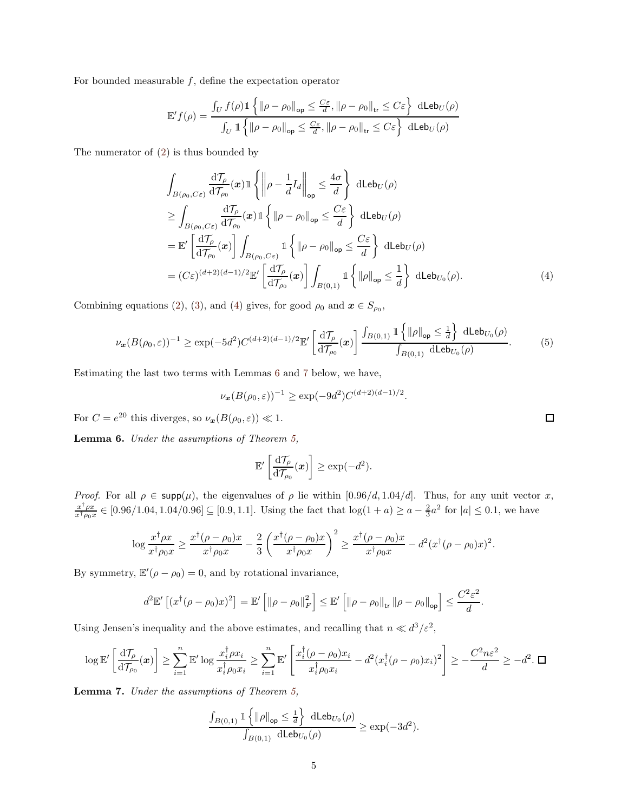For bounded measurable  $f$ , define the expectation operator

$$
\mathbb{E}'f(\rho) = \frac{\int_U f(\rho) \mathbbm{1}\left\{\|\rho - \rho_0\|_{\text{op}} \le \frac{C\varepsilon}{d}, \|\rho - \rho_0\|_{\text{tr}} \le C\varepsilon\right\} \text{ dLeb}_U(\rho)}{\int_U \mathbbm{1}\left\{\|\rho - \rho_0\|_{\text{op}} \le \frac{C\varepsilon}{d}, \|\rho - \rho_0\|_{\text{tr}} \le C\varepsilon\right\} \text{ dLeb}_U(\rho)}
$$

The numerator of [\(2\)](#page-3-0) is thus bounded by

$$
\int_{B(\rho_{0},C_{\varepsilon})} \frac{d\mathcal{T}_{\rho}}{dT_{\rho_{0}}}(\boldsymbol{x}) \mathbb{1} \left\{ \left\| \rho - \frac{1}{d} I_{d} \right\|_{op} \leq \frac{4\sigma}{d} \right\} \text{ dLeb}_{U}(\rho)
$$
\n
$$
\geq \int_{B(\rho_{0},C_{\varepsilon})} \frac{d\mathcal{T}_{\rho}}{dT_{\rho_{0}}}(\boldsymbol{x}) \mathbb{1} \left\{ \left\| \rho - \rho_{0} \right\|_{op} \leq \frac{C_{\varepsilon}}{d} \right\} \text{ dLeb}_{U}(\rho)
$$
\n
$$
= \mathbb{E}' \left[ \frac{d\mathcal{T}_{\rho}}{dT_{\rho_{0}}}(\boldsymbol{x}) \right] \int_{B(\rho_{0},C_{\varepsilon})} \mathbb{1} \left\{ \left\| \rho - \rho_{0} \right\|_{op} \leq \frac{C_{\varepsilon}}{d} \right\} \text{ dLeb}_{U}(\rho)
$$
\n
$$
= (C_{\varepsilon})^{(d+2)(d-1)/2} \mathbb{E}' \left[ \frac{d\mathcal{T}_{\rho}}{dT_{\rho_{0}}}(\boldsymbol{x}) \right] \int_{B(0,1)} \mathbb{1} \left\{ \left\| \rho \right\|_{op} \leq \frac{1}{d} \right\} \text{ dLeb}_{U_{0}}(\rho).
$$
\n(4)

Combining equations [\(2\)](#page-3-0), [\(3\)](#page-3-1), and [\(4\)](#page-4-0) gives, for good  $\rho_0$  and  $\mathbf{x} \in S_{\rho_0}$ ,

$$
\nu_{\mathbf{x}}(B(\rho_0,\varepsilon))^{-1} \geq \exp(-5d^2)C^{(d+2)(d-1)/2}\mathbb{E}'\left[\frac{\mathrm{d}\mathcal{T}_{\rho}}{\mathrm{d}\mathcal{T}_{\rho_0}}(\mathbf{x})\right] \frac{\int_{B(0,1)} \mathbb{1}\left\{||\rho||_{\mathsf{op}} \leq \frac{1}{d}\right\} \mathrm{dLeb}_{U_0}(\rho)}{\int_{B(0,1)} \mathrm{dLeb}_{U_0}(\rho)}.\tag{5}
$$

Estimating the last two terms with Lemmas [6](#page-4-1) and [7](#page-4-2) below, we have,

$$
\nu_{\mathbf{x}}(B(\rho_0, \varepsilon))^{-1} \ge \exp(-9d^2)C^{(d+2)(d-1)/2}.
$$

For  $C = e^{20}$  this diverges, so  $\nu_x(B(\rho_0, \varepsilon)) \ll 1$ .

<span id="page-4-1"></span>Lemma 6. Under the assumptions of Theorem [5,](#page-3-2)

$$
\mathbb{E}'\left[\frac{\mathrm{d}\mathcal{T}_{\rho}}{\mathrm{d}\mathcal{T}_{\rho_0}}(\boldsymbol{x})\right] \geq \exp(-d^2).
$$

Proof. For all  $\rho \in \text{supp}(\mu)$ , the eigenvalues of  $\rho$  lie within [0.96/d, 1.04/d]. Thus, for any unit vector x,  $x^\dagger \rho x$  $\frac{x^+\rho x}{x^+\rho_0 x} \in [0.96/1.04, 1.04/0.96] \subseteq [0.9, 1.1]$ . Using the fact that  $\log(1 + a) \ge a - \frac{2}{3}a^2$  for  $|a| \le 0.1$ , we have

$$
\log \frac{x^{\dagger} \rho x}{x^{\dagger} \rho_0 x} \ge \frac{x^{\dagger} (\rho - \rho_0) x}{x^{\dagger} \rho_0 x} - \frac{2}{3} \left( \frac{x^{\dagger} (\rho - \rho_0) x}{x^{\dagger} \rho_0 x} \right)^2 \ge \frac{x^{\dagger} (\rho - \rho_0) x}{x^{\dagger} \rho_0 x} - d^2 (x^{\dagger} (\rho - \rho_0) x)^2.
$$

By symmetry,  $\mathbb{E}'(\rho - \rho_0) = 0$ , and by rotational invariance,

$$
d^2\mathbb{E}'\left[\left(x^{\dagger}(\rho-\rho_0)x\right)^2\right]=\mathbb{E}'\left[\left\|\rho-\rho_0\right\|_F^2\right]\leq \mathbb{E}'\left[\left\|\rho-\rho_0\right\|_{\text{tr}}\left\|\rho-\rho_0\right\|_{\text{op}}\right]\leq \frac{C^2\varepsilon^2}{d}.
$$

Using Jensen's inequality and the above estimates, and recalling that  $n \ll d^3/\varepsilon^2$ ,

$$
\log \mathbb{E}'\left[\frac{\mathrm{d}\mathcal{T}_{\rho}}{\mathrm{d}\mathcal{T}_{\rho_0}}(\boldsymbol{x})\right] \geq \sum_{i=1}^n \mathbb{E}'\log \frac{x_i^{\dagger} \rho x_i}{x_i^{\dagger} \rho_0 x_i} \geq \sum_{i=1}^n \mathbb{E}'\left[\frac{x_i^{\dagger} (\rho - \rho_0) x_i}{x_i^{\dagger} \rho_0 x_i} - d^2 (x_i^{\dagger} (\rho - \rho_0) x_i)^2\right] \geq -\frac{C^2 n \varepsilon^2}{d} \geq -d^2. \ \blacksquare
$$

<span id="page-4-2"></span>Lemma 7. Under the assumptions of Theorem [5,](#page-3-2)

$$
\frac{\int_{B(0,1)} 1 \{\|\rho\|_{\text{op}} \leq \frac{1}{d}\} \text{ dLeb}_{U_0}(\rho)}{\int_{B(0,1)} \text{ dLeb}_{U_0}(\rho)} \geq \exp(-3d^2).
$$

<span id="page-4-0"></span> $\Box$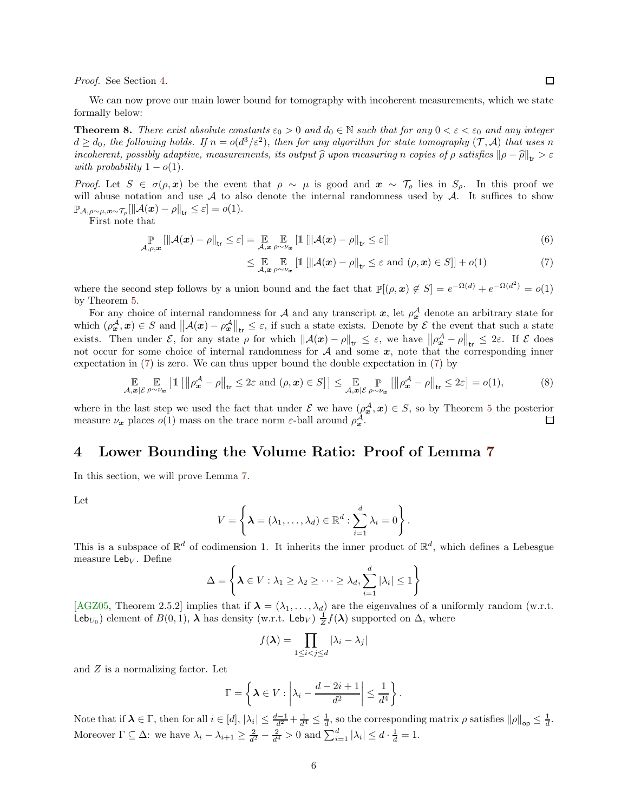Proof. See Section [4.](#page-5-1)

We can now prove our main lower bound for tomography with incoherent measurements, which we state formally below:

<span id="page-5-0"></span>**Theorem 8.** There exist absolute constants  $\varepsilon_0 > 0$  and  $d_0 \in \mathbb{N}$  such that for any  $0 < \varepsilon < \varepsilon_0$  and any integer  $d \geq d_0$ , the following holds. If  $n = o(d^3/\varepsilon^2)$ , then for any algorithm for state tomography  $(\mathcal{T}, \mathcal{A})$  that uses n incoherent, possibly adaptive, measurements, its output  $\hat{\rho}$  upon measuring n copies of  $\rho$  satisfies  $\|\rho - \hat{\rho}\|_{tr} > \varepsilon$ with probability  $1 - o(1)$ .

Proof. Let  $S \in \sigma(\rho, x)$  be the event that  $\rho \sim \mu$  is good and  $x \sim \mathcal{T}_{\rho}$  lies in  $S_{\rho}$ . In this proof we will abuse notation and use  $A$  to also denote the internal randomness used by  $A$ . It suffices to show  $\mathbb{P}_{\mathcal{A},\rho\sim\mu,\boldsymbol{x}\sim\mathcal{T}_{\rho}}[\|\mathcal{A}(\boldsymbol{x})-\rho\|_{\mathsf{tr}}\leq\varepsilon]=o(1).$ 

First note that

$$
\mathop{\mathbb{P}}_{\mathcal{A},\rho,\mathbf{x}}\left[\left\|\mathcal{A}(\mathbf{x})-\rho\right\|_{\mathsf{tr}}\leq\varepsilon\right]=\mathop{\mathbb{E}}_{\mathcal{A},\mathbf{x}}\mathop{\mathbb{P}}_{\rho\sim\nu_{\mathbf{x}}}\left[\mathbb{1}\left[\left\|\mathcal{A}(\mathbf{x})-\rho\right\|_{\mathsf{tr}}\leq\varepsilon\right]\right]
$$
(6)

<span id="page-5-2"></span>
$$
\leq \mathop{\mathbb{E}}_{\mathcal{A},\mathbf{x}} \mathop{\mathbb{E}}_{\rho \sim \nu_{\mathbf{x}}} \left[ \mathbb{1} \left[ \left\| \mathcal{A}(\mathbf{x}) - \rho \right\|_{\text{tr}} \leq \varepsilon \text{ and } (\rho,\mathbf{x}) \in S \right] \right] + o(1) \tag{7}
$$

where the second step follows by a union bound and the fact that  $\mathbb{P}[(\rho, x) \notin S] = e^{-\Omega(d)} + e^{-\Omega(d^2)} = o(1)$ by Theorem [5.](#page-3-2)

For any choice of internal randomness for A and any transcript  $x$ , let  $\rho_x^{\mathcal{A}}$  denote an arbitrary state for which  $(\rho_{\bm{x}}^{\mathcal{A}}, \bm{x}) \in S$  and  $\|\mathcal{A}(\bm{x}) - \rho_{\bm{x}}^{\mathcal{A}}\|_{\text{tr}} \leq \varepsilon$ , if such a state exists. Denote by  $\mathcal{E}$  the event that such a state exists. Then under  $\mathcal{E}$ , for any state  $\rho$  for which  $\|\mathcal{A}(x) - \rho\|_{tr} \leq \varepsilon$ , we have  $\|\rho_{x}^{\mathcal{A}} - \rho\|_{tr} \leq 2\varepsilon$ . If  $\mathcal{E}$  does not occur for some choice of internal randomness for  $A$  and some  $x$ , note that the corresponding inner expectation in [\(7\)](#page-5-2) is zero. We can thus upper bound the double expectation in [\(7\)](#page-5-2) by

$$
\mathop{\mathbb{E}}_{\mathcal{A},\mathbf{x}|\mathcal{E}} \mathop{\mathbb{E}}_{\rho\sim\nu_{\mathbf{x}}} \left[1\left[\left\|\rho_{\mathbf{x}}^{\mathcal{A}}-\rho\right\|_{\mathsf{tr}}\leq 2\varepsilon \text{ and } (\rho,\mathbf{x})\in S\right]\right] \leq \mathop{\mathbb{E}}_{\mathcal{A},\mathbf{x}|\mathcal{E}} \mathop{\mathbb{P}}_{\rho\sim\nu_{\mathbf{x}}} \left[\left\|\rho_{\mathbf{x}}^{\mathcal{A}}-\rho\right\|_{\mathsf{tr}}\leq 2\varepsilon\right] = o(1),\tag{8}
$$

where in the last step we used the fact that under  $\mathcal E$  we have  $(\rho_{\bm x}^{\mathcal A}, \bm x) \in S$ , so by Theorem [5](#page-3-2) the posterior measure  $\nu_x$  places  $o(1)$  mass on the trace norm  $\varepsilon$ -ball around  $\rho_x^{\mathcal{A}}$ . 口

# <span id="page-5-1"></span>4 Lower Bounding the Volume Ratio: Proof of Lemma [7](#page-4-2)

In this section, we will prove Lemma [7.](#page-4-2)

Let

$$
V = \left\{ \boldsymbol{\lambda} = (\lambda_1, \dots, \lambda_d) \in \mathbb{R}^d : \sum_{i=1}^d \lambda_i = 0 \right\}.
$$

This is a subspace of  $\mathbb{R}^d$  of codimension 1. It inherits the inner product of  $\mathbb{R}^d$ , which defines a Lebesgue measure  $\mathsf{Leb}_V$ . Define

$$
\Delta = \left\{ \boldsymbol{\lambda} \in V : \lambda_1 \geq \lambda_2 \geq \cdots \geq \lambda_d, \sum_{i=1}^d |\lambda_i| \leq 1 \right\}
$$

[\[AGZ05,](#page-6-3) Theorem 2.5.2] implies that if  $\lambda = (\lambda_1, \ldots, \lambda_d)$  are the eigenvalues of a uniformly random (w.r.t. Leb<sub>U<sub>0</sub></sub>) element of  $B(0,1)$ ,  $\lambda$  has density (w.r.t. Leb<sub>V</sub>)  $\frac{1}{Z}f(\lambda)$  supported on  $\Delta$ , where

$$
f(\boldsymbol{\lambda}) = \prod_{1 \leq i < j \leq d} |\lambda_i - \lambda_j|
$$

and Z is a normalizing factor. Let

$$
\Gamma = \left\{ \lambda \in V : \left| \lambda_i - \frac{d - 2i + 1}{d^2} \right| \leq \frac{1}{d^4} \right\}.
$$

Note that if  $\lambda \in \Gamma$ , then for all  $i \in [d]$ ,  $|\lambda_i| \leq \frac{d-1}{d^2} + \frac{1}{d^4} \leq \frac{1}{d}$ , so the corresponding matrix  $\rho$  satisfies  $||\rho||_{op} \leq \frac{1}{d}$ . Moreover  $\Gamma \subseteq \Delta$ : we have  $\lambda_i - \lambda_{i+1} \geq \frac{2}{d^2} - \frac{2}{d^4} > 0$  and  $\sum_{i=1}^d |\lambda_i| \leq d \cdot \frac{1}{d} = 1$ .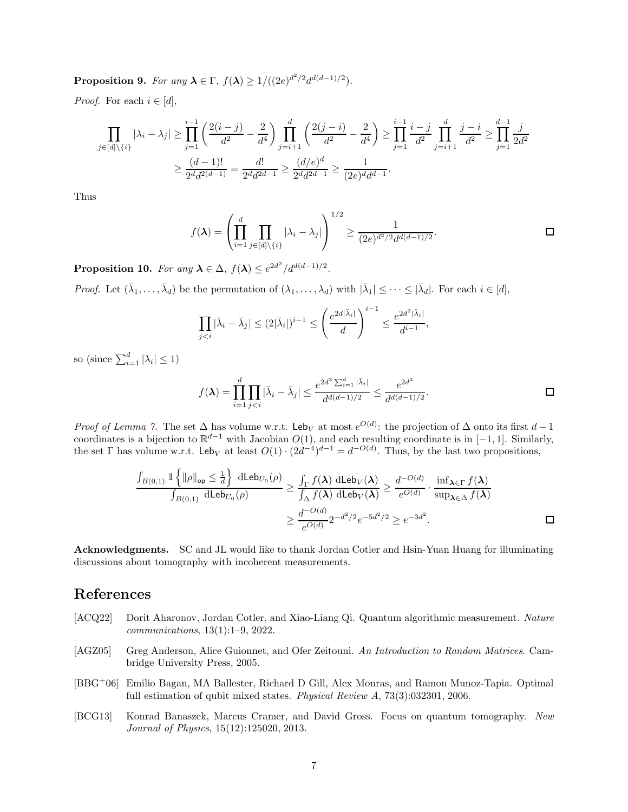**Proposition 9.** For any  $\lambda \in \Gamma$ ,  $f(\lambda) \geq 1/((2e)^{d^2/2}d^{d(d-1)/2})$ .

*Proof.* For each  $i \in [d]$ ,

$$
\prod_{j\in[d]\backslash\{i\}} |\lambda_i - \lambda_j| \ge \prod_{j=1}^{i-1} \left( \frac{2(i-j)}{d^2} - \frac{2}{d^4} \right) \prod_{j=i+1}^d \left( \frac{2(j-i)}{d^2} - \frac{2}{d^4} \right) \ge \prod_{j=1}^{i-1} \frac{i-j}{d^2} \prod_{j=i+1}^d \frac{j-i}{d^2} \ge \prod_{j=1}^{d-1} \frac{j}{2d^2}
$$

$$
\ge \frac{(d-1)!}{2^d d^{2(d-1)}} = \frac{d!}{2^d d^{2d-1}} \ge \frac{(d/e)^d}{2^d d^{2d-1}} \ge \frac{1}{(2e)^d d^{d-1}}.
$$

Thus

$$
f(\lambda) = \left(\prod_{i=1}^d \prod_{j \in [d] \setminus \{i\}} |\lambda_i - \lambda_j|\right)^{1/2} \ge \frac{1}{(2e)^{d^2/2} d^{d(d-1)/2}}.
$$

**Proposition 10.** For any  $\lambda \in \Delta$ ,  $f(\lambda) \leq e^{2d^2}/d^{d(d-1)/2}$ .

*Proof.* Let  $(\bar{\lambda}_1, \ldots, \bar{\lambda}_d)$  be the permutation of  $(\lambda_1, \ldots, \lambda_d)$  with  $|\bar{\lambda}_1| \leq \cdots \leq |\bar{\lambda}_d|$ . For each  $i \in [d]$ ,

$$
\prod_{j
$$

so (since  $\sum_{i=1}^{d} |\lambda_i| \leq 1$ )

$$
f(\boldsymbol{\lambda}) = \prod_{i=1}^{d} \prod_{j < i} |\bar{\lambda}_i - \bar{\lambda}_j| \leq \frac{e^{2d^2 \sum_{i=1}^{d} |\bar{\lambda}_i|}}{d^{d(d-1)/2}} \leq \frac{e^{2d^2}}{d^{d(d-1)/2}}.
$$

*Proof of Lemma [7.](#page-4-2)* The set  $\Delta$  has volume w.r.t. Leb<sub>V</sub> at most  $e^{O(d)}$ : the projection of  $\Delta$  onto its first  $d-1$ coordinates is a bijection to  $\mathbb{R}^{d-1}$  with Jacobian  $O(1)$ , and each resulting coordinate is in  $[-1, 1]$ . Similarly, the set  $\Gamma$  has volume w.r.t. Leb<sub>V</sub> at least  $O(1) \cdot (2d^{-4})^{d-1} = d^{-O(d)}$ . Thus, by the last two propositions,

$$
\frac{\int_{B(0,1)} \mathbb{1}\left\{ \|\rho\|_{\mathsf{op}} \leq \frac{1}{d} \right\} \, \mathrm{d} \mathsf{Leb}_{U_0}(\rho)}{\int_{B(0,1)} \, \mathrm{d} \mathsf{Leb}_{U_0}(\rho)} \geq \frac{\int_{\Gamma} f(\boldsymbol{\lambda}) \, \mathrm{d} \mathsf{Leb}_{V}(\boldsymbol{\lambda})}{\int_{\Delta} f(\boldsymbol{\lambda}) \, \mathrm{d} \mathsf{Leb}_{V}(\boldsymbol{\lambda})} \geq \frac{d^{-O(d)}}{e^{O(d)}} \cdot \frac{\inf_{\boldsymbol{\lambda} \in \Gamma} f(\boldsymbol{\lambda})}{\sup_{\boldsymbol{\lambda} \in \Delta} f(\boldsymbol{\lambda})} \geq \frac{d^{-O(d)}(d)}{e^{O(d)}} \cdot \frac{1}{\sup_{\boldsymbol{\lambda} \in \Delta} f(\boldsymbol{\lambda})} \geq \frac{1}{e^{O(d)}} \cdot \frac{1}{\sup_{\boldsymbol{\lambda} \in \Delta} f(\boldsymbol{\lambda})} \geq \frac{1}{e^{O(d)}} \cdot \frac{1}{e^{O(d)}} \cdot \frac{1}{\sup_{\boldsymbol{\lambda} \in \Delta} f(\boldsymbol{\lambda})} \geq \frac{1}{e^{O(d)}} \cdot \frac{1}{\sup_{\boldsymbol{\lambda} \in \Delta} f(\boldsymbol{\lambda})} \geq \frac{1}{e^{O(d)}} \cdot \frac{1}{\sup_{\boldsymbol{\lambda} \in \Delta} f(\boldsymbol{\lambda})} \geq \frac{1}{e^{O(d)}} \cdot \frac{1}{\sup_{\boldsymbol{\lambda} \in \Delta} f(\boldsymbol{\lambda})} \geq \frac{1}{e^{O(d)}} \cdot \frac{1}{\sup_{\boldsymbol{\lambda} \in \Delta} f(\boldsymbol{\lambda})} \geq \frac{1}{e^{O(d)}} \cdot \frac{1}{\sup_{\boldsymbol{\lambda} \in \Delta} f(\boldsymbol{\lambda})} \geq \frac{1}{e^{O(d)}} \cdot \frac{1}{\sup_{\boldsymbol{\lambda} \in \Delta} f(\boldsymbol{\lambda})} \geq \frac{1}{e^{O(d)}} \cdot \frac{1}{\sup_{\boldsymbol{\lambda} \in \Delta} f(\boldsymbol{\lambda})} \geq \frac{1}{e^{O(d)}} \cdot \frac{1}{\sup_{\boldsymbol{\lambda} \in \Delta} f(\boldsymbol{\lambda})} \geq \frac{1}{e^{O(d)}} \cdot \frac{1}{\sup_{\boldsymbol{\lambda} \in \Delta} f(\boldsymbol{\lambda
$$

Acknowledgments. SC and JL would like to thank Jordan Cotler and Hsin-Yuan Huang for illuminating discussions about tomography with incoherent measurements.

# References

- <span id="page-6-1"></span>[ACQ22] Dorit Aharonov, Jordan Cotler, and Xiao-Liang Qi. Quantum algorithmic measurement. Nature communications, 13(1):1–9, 2022.
- <span id="page-6-3"></span>[AGZ05] Greg Anderson, Alice Guionnet, and Ofer Zeitouni. An Introduction to Random Matrices. Cambridge University Press, 2005.
- <span id="page-6-2"></span>[BBG<sup>+</sup>06] Emilio Bagan, MA Ballester, Richard D Gill, Alex Monras, and Ramon Munoz-Tapia. Optimal full estimation of qubit mixed states. Physical Review A, 73(3):032301, 2006.
- <span id="page-6-0"></span>[BCG13] Konrad Banaszek, Marcus Cramer, and David Gross. Focus on quantum tomography. New Journal of Physics, 15(12):125020, 2013.